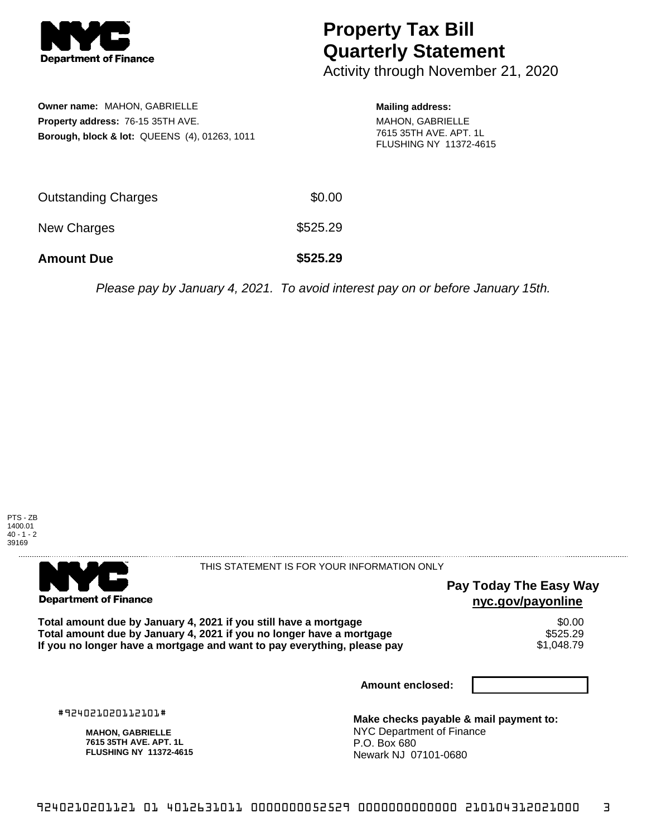

## **Property Tax Bill Quarterly Statement**

Activity through November 21, 2020

| Owner name: MAHON, GABRIELLE<br><b>Property address: 76-15 35TH AVE.</b><br>Borough, block & lot: QUEENS (4), 01263, 1011 |          | <b>Mailing address:</b><br>MAHON, GABRIELLE<br>7615 35TH AVE, APT, 1L<br><b>FLUSHING NY 11372-4615</b> |
|---------------------------------------------------------------------------------------------------------------------------|----------|--------------------------------------------------------------------------------------------------------|
| <b>Outstanding Charges</b>                                                                                                | \$0.00   |                                                                                                        |
| New Charges                                                                                                               | \$525.29 |                                                                                                        |

**Amount Due \$525.29**

Please pay by January 4, 2021. To avoid interest pay on or before January 15th.



. . . . . . . . . . . . . . . . **Department of Finance** 

THIS STATEMENT IS FOR YOUR INFORMATION ONLY

## **Pay Today The Easy Way nyc.gov/payonline**

Total amount due by January 4, 2021 if you still have a mortgage **\$0.00** \$0.00<br>Total amount due by January 4, 2021 if you no longer have a mortgage **Total amount due by January 4, 2021 if you no longer have a mortgage \$525.29<br>If you no longer have a mortgage and want to pay everything, please pay \$1,048.79** If you no longer have a mortgage and want to pay everything, please pay

**Amount enclosed:**

#924021020112101#

**MAHON, GABRIELLE 7615 35TH AVE. APT. 1L FLUSHING NY 11372-4615**

**Make checks payable & mail payment to:** NYC Department of Finance P.O. Box 680 Newark NJ 07101-0680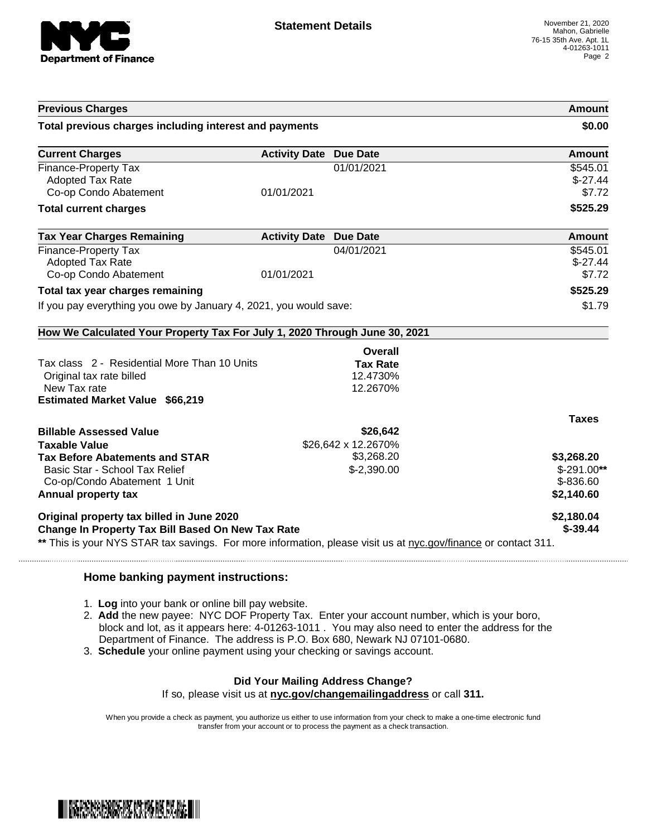

| <b>Previous Charges</b>                                                                                        |                               |                     | Amount        |
|----------------------------------------------------------------------------------------------------------------|-------------------------------|---------------------|---------------|
| Total previous charges including interest and payments                                                         |                               |                     | \$0.00        |
| <b>Current Charges</b>                                                                                         | <b>Activity Date Due Date</b> |                     | Amount        |
| Finance-Property Tax                                                                                           |                               | 01/01/2021          | \$545.01      |
| <b>Adopted Tax Rate</b>                                                                                        |                               |                     | $$-27.44$     |
| Co-op Condo Abatement                                                                                          | 01/01/2021                    |                     | \$7.72        |
| <b>Total current charges</b>                                                                                   |                               |                     | \$525.29      |
| <b>Tax Year Charges Remaining</b>                                                                              | <b>Activity Date Due Date</b> |                     | <b>Amount</b> |
| Finance-Property Tax                                                                                           |                               | 04/01/2021          | \$545.01      |
| <b>Adopted Tax Rate</b>                                                                                        |                               |                     | $$-27.44$     |
| Co-op Condo Abatement                                                                                          | 01/01/2021                    |                     | \$7.72        |
| Total tax year charges remaining                                                                               |                               |                     | \$525.29      |
| If you pay everything you owe by January 4, 2021, you would save:                                              |                               |                     | \$1.79        |
|                                                                                                                |                               |                     |               |
| How We Calculated Your Property Tax For July 1, 2020 Through June 30, 2021                                     |                               |                     |               |
|                                                                                                                |                               | Overall             |               |
| Tax class 2 - Residential More Than 10 Units                                                                   |                               | <b>Tax Rate</b>     |               |
| Original tax rate billed                                                                                       |                               | 12.4730%            |               |
| New Tax rate                                                                                                   |                               | 12.2670%            |               |
| <b>Estimated Market Value \$66,219</b>                                                                         |                               |                     |               |
|                                                                                                                |                               |                     | <b>Taxes</b>  |
| <b>Billable Assessed Value</b>                                                                                 |                               | \$26,642            |               |
| <b>Taxable Value</b>                                                                                           |                               | \$26,642 x 12.2670% |               |
| <b>Tax Before Abatements and STAR</b>                                                                          |                               | \$3,268.20          | \$3,268.20    |
| Basic Star - School Tax Relief                                                                                 |                               | $$-2,390.00$        | $$-291.00**$  |
| Co-op/Condo Abatement 1 Unit                                                                                   |                               |                     | \$-836.60     |
| Annual property tax                                                                                            |                               |                     | \$2,140.60    |
| Original property tax billed in June 2020                                                                      |                               |                     | \$2,180.04    |
| Change In Property Tax Bill Based On New Tax Rate                                                              |                               |                     | $$ -39.44$    |
| ** This is your NYS STAR tax savings. For more information, please visit us at nyc.gov/finance or contact 311. |                               |                     |               |

## **Home banking payment instructions:**

- 1. **Log** into your bank or online bill pay website.
- 2. **Add** the new payee: NYC DOF Property Tax. Enter your account number, which is your boro, block and lot, as it appears here: 4-01263-1011 . You may also need to enter the address for the Department of Finance. The address is P.O. Box 680, Newark NJ 07101-0680.
- 3. **Schedule** your online payment using your checking or savings account.

## **Did Your Mailing Address Change?**

If so, please visit us at **nyc.gov/changemailingaddress** or call **311.**

When you provide a check as payment, you authorize us either to use information from your check to make a one-time electronic fund transfer from your account or to process the payment as a check transaction.